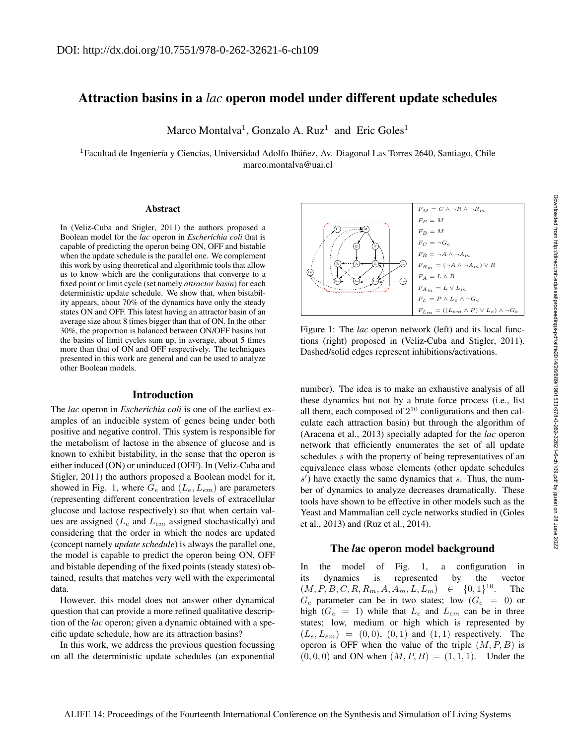# Attraction basins in a *lac* operon model under different update schedules

Marco Montalva<sup>1</sup>, Gonzalo A. Ruz<sup>1</sup> and Eric Goles<sup>1</sup>

 ${}^{1}$ Facultad de Ingeniería y Ciencias, Universidad Adolfo Ibáñez, Av. Diagonal Las Torres 2640, Santiago, Chile marco.montalva@uai.cl

#### **Abstract**

In (Veliz-Cuba and Stigler, 2011) the authors proposed a Boolean model for the *lac* operon in *Escherichia coli* that is capable of predicting the operon being ON, OFF and bistable when the update schedule is the parallel one. We complement this work by using theoretical and algorithmic tools that allow us to know which are the configurations that converge to a fixed point or limit cycle (set namely *attractor basin*) for each deterministic update schedule. We show that, when bistability appears, about 70% of the dynamics have only the steady states ON and OFF. This latest having an attractor basin of an average size about 8 times bigger than that of ON. In the other 30%, the proportion is balanced between ON/OFF basins but the basins of limit cycles sum up, in average, about 5 times more than that of ON and OFF respectively. The techniques presented in this work are general and can be used to analyze other Boolean models.

# Introduction

The *lac* operon in *Escherichia coli* is one of the earliest examples of an inducible system of genes being under both positive and negative control. This system is responsible for the metabolism of lactose in the absence of glucose and is known to exhibit bistability, in the sense that the operon is either induced (ON) or uninduced (OFF). In (Veliz-Cuba and Stigler, 2011) the authors proposed a Boolean model for it, showed in Fig. 1, where  $G_e$  and  $(L_e, L_{em})$  are parameters (representing different concentration levels of extracellular glucose and lactose respectively) so that when certain values are assigned ( $L_e$  and  $L_{em}$  assigned stochastically) and considering that the order in which the nodes are updated (concept namely *update schedule*) is always the parallel one, the model is capable to predict the operon being ON, OFF and bistable depending of the fixed points (steady states) obtained, results that matches very well with the experimental data.

However, this model does not answer other dynamical question that can provide a more refined qualitative description of the *lac* operon; given a dynamic obtained with a specific update schedule, how are its attraction basins?

In this work, we address the previous question focussing on all the deterministic update schedules (an exponential



Figure 1: The *lac* operon network (left) and its local functions (right) proposed in (Veliz-Cuba and Stigler, 2011). Dashed/solid edges represent inhibitions/activations.

number). The idea is to make an exhaustive analysis of all these dynamics but not by a brute force process (i.e., list all them, each composed of  $2^{10}$  configurations and then calculate each attraction basin) but through the algorithm of (Aracena et al., 2013) specially adapted for the *lac* operon network that efficiently enumerates the set of all update schedules s with the property of being representatives of an equivalence class whose elements (other update schedules  $s'$ ) have exactly the same dynamics that  $s$ . Thus, the number of dynamics to analyze decreases dramatically. These tools have shown to be effective in other models such as the Yeast and Mammalian cell cycle networks studied in (Goles et al., 2013) and (Ruz et al., 2014).

## The *l*ac operon model background

In the model of Fig. 1, a configuration in its dynamics is represented by the vector  $(M, P, B, C, R, R_m, A, A_m, L, L_m) \in \{0, 1\}^{10}.$ The  $G_e$  parameter can be in two states; low  $(G_e = 0)$  or high ( $G_e$  = 1) while that  $L_e$  and  $L_{em}$  can be in three states; low, medium or high which is represented by  $(L_e, L_{em}) = (0, 0), (0, 1)$  and  $(1, 1)$  respectively. The operon is OFF when the value of the triple  $(M, P, B)$  is  $(0, 0, 0)$  and ON when  $(M, P, B) = (1, 1, 1)$ . Under the